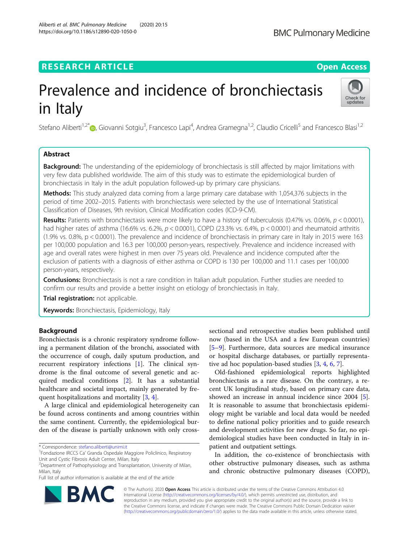# **RESEARCH ARTICLE Example 2014 CONSIDERING A RESEARCH ARTICLE**

# Prevalence and incidence of bronchiectasis in Italy

Stefano Aliberti<sup>1,2\*</sup>®, Giovanni Sotgiu<sup>3</sup>, Francesco Lapi<sup>4</sup>, Andrea Gramegna<sup>1,2</sup>, Claudio Cricelli<sup>5</sup> and Francesco Blasi<sup>1,2</sup>

# Abstract

**Background:** The understanding of the epidemiology of bronchiectasis is still affected by major limitations with very few data published worldwide. The aim of this study was to estimate the epidemiological burden of bronchiectasis in Italy in the adult population followed-up by primary care physicians.

Methods: This study analyzed data coming from a large primary care database with 1,054,376 subjects in the period of time 2002–2015. Patients with bronchiectasis were selected by the use of International Statistical Classification of Diseases, 9th revision, Clinical Modification codes (ICD-9-CM).

Results: Patients with bronchiectasis were more likely to have a history of tuberculosis (0.47% vs. 0.06%,  $p < 0.0001$ ), had higher rates of asthma (16.6% vs. 6.2%,  $p < 0.0001$ ), COPD (23.3% vs. 6.4%,  $p < 0.0001$ ) and rheumatoid arthritis (1.9% vs. 0.8%, p < 0.0001). The prevalence and incidence of bronchiectasis in primary care in Italy in 2015 were 163 per 100,000 population and 16.3 per 100,000 person-years, respectively. Prevalence and incidence increased with age and overall rates were highest in men over 75 years old. Prevalence and incidence computed after the exclusion of patients with a diagnosis of either asthma or COPD is 130 per 100,000 and 11.1 cases per 100,000 person-years, respectively.

Conclusions: Bronchiectasis is not a rare condition in Italian adult population. Further studies are needed to confirm our results and provide a better insight on etiology of bronchiectasis in Italy.

Trial registration: not applicable.

Keywords: Bronchiectasis, Epidemiology, Italy

# **Background**

Bronchiectasis is a chronic respiratory syndrome following a permanent dilation of the bronchi, associated with the occurrence of cough, daily sputum production, and recurrent respiratory infections [[1\]](#page-5-0). The clinical syndrome is the final outcome of several genetic and acquired medical conditions [[2\]](#page-5-0). It has a substantial healthcare and societal impact, mainly generated by frequent hospitalizations and mortality [[3,](#page-5-0) [4\]](#page-5-0).

A large clinical and epidemiological heterogeneity can be found across continents and among countries within the same continent. Currently, the epidemiological burden of the disease is partially unknown with only cross-

\* Correspondence: [stefano.aliberti@unimi.it](mailto:stefano.aliberti@unimi.it) <sup>1</sup>

Full list of author information is available at the end of the article

sectional and retrospective studies been published until now (based in the USA and a few European countries) [[5](#page-5-0)–[9\]](#page-5-0). Furthermore, data sources are medical insurance or hospital discharge databases, or partially representative ad hoc population-based studies [\[3](#page-5-0), [4](#page-5-0), [6](#page-5-0), [7](#page-5-0)].

Old-fashioned epidemiological reports highlighted bronchiectasis as a rare disease. On the contrary, a recent UK longitudinal study, based on primary care data, showed an increase in annual incidence since 2004 [\[5](#page-5-0)]. It is reasonable to assume that bronchiectasis epidemiology might be variable and local data would be needed to define national policy priorities and to guide research and development activities for new drugs. So far, no epidemiological studies have been conducted in Italy in inpatient and outpatient settings.

In addition, the co-existence of bronchiectasis with other obstructive pulmonary diseases, such as asthma and chronic obstructive pulmonary diseases (COPD),

© The Author(s). 2020 **Open Access** This article is distributed under the terms of the Creative Commons Attribution 4.0 International License [\(http://creativecommons.org/licenses/by/4.0/](http://creativecommons.org/licenses/by/4.0/)), which permits unrestricted use, distribution, and reproduction in any medium, provided you give appropriate credit to the original author(s) and the source, provide a link to the Creative Commons license, and indicate if changes were made. The Creative Commons Public Domain Dedication waiver [\(http://creativecommons.org/publicdomain/zero/1.0/](http://creativecommons.org/publicdomain/zero/1.0/)) applies to the data made available in this article, unless otherwise stated.





Fondazione IRCCS Ca' Granda Ospedale Maggiore Policlinico, Respiratory Unit and Cystic Fibrosis Adult Center, Milan, Italy

<sup>2</sup> Department of Pathophysiology and Transplantation, University of Milan, Milan, Italy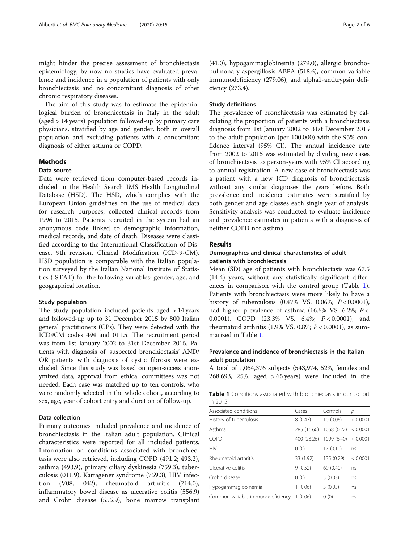might hinder the precise assessment of bronchiectasis epidemiology; by now no studies have evaluated prevalence and incidence in a population of patients with only bronchiectasis and no concomitant diagnosis of other chronic respiratory diseases.

The aim of this study was to estimate the epidemiological burden of bronchiectasis in Italy in the adult (aged > 14 years) population followed-up by primary care physicians, stratified by age and gender, both in overall population and excluding patients with a concomitant diagnosis of either asthma or COPD.

# **Methods**

# Data source

Data were retrieved from computer-based records included in the Health Search IMS Health Longitudinal Database (HSD). The HSD, which complies with the European Union guidelines on the use of medical data for research purposes, collected clinical records from 1996 to 2015. Patients recruited in the system had an anonymous code linked to demographic information, medical records, and date of death. Diseases were classified according to the International Classification of Disease, 9th revision, Clinical Modification (ICD-9-CM). HSD population is comparable with the Italian population surveyed by the Italian National Institute of Statistics (ISTAT) for the following variables: gender, age, and geographical location.

#### Study population

The study population included patients aged  $> 14$  years and followed-up up to 31 December 2015 by 800 Italian general practitioners (GPs). They were detected with the ICD9CM codes 494 and 011.5. The recruitment period was from 1st January 2002 to 31st December 2015. Patients with diagnosis of 'suspected bronchiectasis' AND/ OR patients with diagnosis of cystic fibrosis were excluded. Since this study was based on open-access anonymized data, approval from ethical committees was not needed. Each case was matched up to ten controls, who were randomly selected in the whole cohort, according to sex, age, year of cohort entry and duration of follow-up.

#### Data collection

Primary outcomes included prevalence and incidence of bronchiectasis in the Italian adult population. Clinical characteristics were reported for all included patients. Information on conditions associated with bronchiectasis were also retrieved, including COPD (491.2; 493.2), asthma (493.9), primary ciliary dyskinesia (759.3), tuberculosis (011.9), Kartagener syndrome (759.3), HIV infection (V08, 042), rheumatoid arthritis (714.0), inflammatory bowel disease as ulcerative colitis (556.9) and Crohn disease (555.9), bone marrow transplant

(41.0), hypogammaglobinemia (279.0), allergic bronchopulmonary aspergillosis ABPA (518.6), common variable immunodeficiency (279.06), and alpha1-antitrypsin deficiency (273.4).

## Study definitions

The prevalence of bronchiectasis was estimated by calculating the proportion of patients with a bronchiectasis diagnosis from 1st January 2002 to 31st December 2015 to the adult population (per 100,000) with the 95% confidence interval (95% CI). The annual incidence rate from 2002 to 2015 was estimated by dividing new cases of bronchiectasis to person-years with 95% CI according to annual registration. A new case of bronchiectasis was a patient with a new ICD diagnosis of bronchiectasis without any similar diagnoses the years before. Both prevalence and incidence estimates were stratified by both gender and age classes each single year of analysis. Sensitivity analysis was conducted to evaluate incidence and prevalence estimates in patients with a diagnosis of neither COPD nor asthma.

# Results

# Demographics and clinical characteristics of adult patients with bronchiectasis

Mean (SD) age of patients with bronchiectasis was 67.5 (14.4) years, without any statistically significant differences in comparison with the control group (Table 1). Patients with bronchiectasis were more likely to have a history of tuberculosis  $(0.47\% \text{ VS. } 0.06\%; P < 0.0001)$ , had higher prevalence of asthma (16.6% VS. 6.2%; P < 0.0001), COPD (23.3% VS. 6.4%;  $P < 0.0001$ ), and rheumatoid arthritis (1.9% VS. 0.8%;  $P < 0.0001$ ), as summarized in Table 1.

# Prevalence and incidence of bronchiectasis in the Italian adult population

A total of 1,054,376 subjects (543,974, 52%, females and 268,693, 25%, aged  $> 65$  years) were included in the

|         |  | <b>Table 1</b> Conditions associated with bronchiectasis in our cohort |  |  |
|---------|--|------------------------------------------------------------------------|--|--|
| in 2015 |  |                                                                        |  |  |

| Associated conditions            | Cases       | Controls    | р        |
|----------------------------------|-------------|-------------|----------|
| History of tuberculosis          | 8(0.47)     | 10(0.06)    | < 0.0001 |
| Asthma                           | 285 (16.60) | 1068 (6.22) | < 0.0001 |
| COPD                             | 400 (23.26) | 1099 (6.40) | < 0.0001 |
| <b>HIV</b>                       | 0(0)        | 17(0.10)    | ns       |
| Rheumatoid arthritis             | 33 (1.92)   | 135 (0.79)  | < 0.0001 |
| Ulcerative colitis               | 9(0.52)     | 69 (0.40)   | ns       |
| Crohn disease                    | 0(0)        | 5(0.03)     | ns       |
| Hypogammaglobinemia              | 1(0.06)     | 5(0.03)     | ns       |
| Common variable immunodeficiency | 1(0.06)     | 0(0)        | ns       |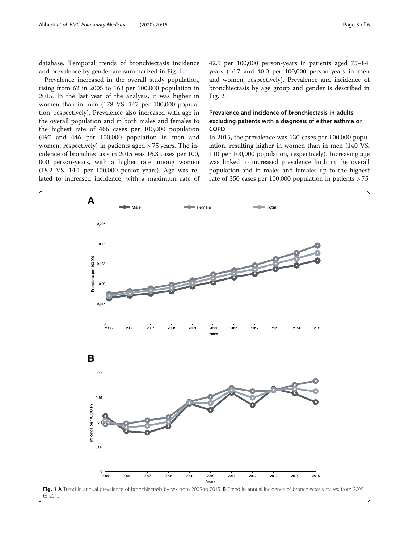database. Temporal trends of bronchiectasis incidence and prevalence by gender are summarized in Fig. 1.

Prevalence increased in the overall study population, rising from 62 in 2005 to 163 per 100,000 population in 2015. In the last year of the analysis, it was higher in women than in men (178 VS. 147 per 100,000 population, respectively). Prevalence also increased with age in the overall population and in both males and females to the highest rate of 466 cases per 100,000 population (497 and 446 per 100,000 population in men and women, respectively) in patients aged > 75 years. The incidence of bronchiectasis in 2015 was 16.3 cases per 100, 000 person-years, with a higher rate among women (18.2 VS. 14.1 per 100,000 person-years). Age was related to increased incidence, with a maximum rate of 42.9 per 100,000 person-years in patients aged 75–84 years (46.7 and 40.0 per 100,000 person-years in men and women, respectively). Prevalence and incidence of bronchiectasis by age group and gender is described in Fig. [2](#page-3-0).

# Prevalence and incidence of bronchiectasis in adults excluding patients with a diagnosis of either asthma or COPD

In 2015, the prevalence was 130 cases per 100,000 population, resulting higher in women than in men (140 VS. 110 per 100,000 population, respectively). Increasing age was linked to increased prevalence both in the overall population and in males and females up to the highest rate of 350 cases per 100,000 population in patients  $> 75$ 

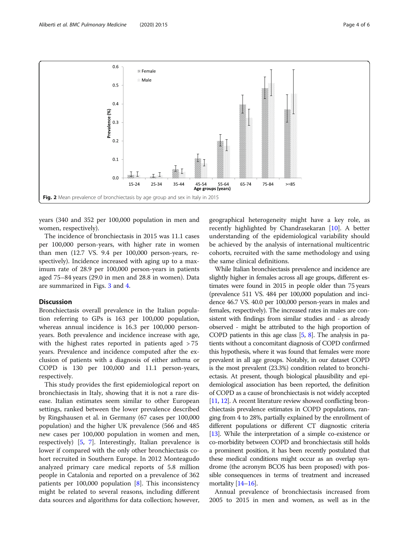<span id="page-3-0"></span>

years (340 and 352 per 100,000 population in men and women, respectively).

The incidence of bronchiectasis in 2015 was 11.1 cases per 100,000 person-years, with higher rate in women than men (12.7 VS. 9.4 per 100,000 person-years, respectively). Incidence increased with aging up to a maximum rate of 28.9 per 100,000 person-years in patients aged 75–84 years (29.0 in men and 28.8 in women). Data are summarized in Figs. [3](#page-4-0) and [4.](#page-4-0)

## **Discussion**

Bronchiectasis overall prevalence in the Italian population referring to GPs is 163 per 100,000 population, whereas annual incidence is 16.3 per 100,000 personyears. Both prevalence and incidence increase with age, with the highest rates reported in patients aged > 75 years. Prevalence and incidence computed after the exclusion of patients with a diagnosis of either asthma or COPD is 130 per 100,000 and 11.1 person-years, respectively.

This study provides the first epidemiological report on bronchiectasis in Italy, showing that it is not a rare disease. Italian estimates seem similar to other European settings, ranked between the lower prevalence described by Ringshausen et al. in Germany (67 cases per 100,000 population) and the higher UK prevalence (566 and 485 new cases per 100,000 population in women and men, respectively) [\[5](#page-5-0), [7\]](#page-5-0). Interestingly, Italian prevalence is lower if compared with the only other bronchiectasis cohort recruited in Southern Europe. In 2012 Monteagudo analyzed primary care medical reports of 5.8 million people in Catalonia and reported on a prevalence of 362 patients per 100,000 population [[8](#page-5-0)]. This inconsistency might be related to several reasons, including different data sources and algorithms for data collection; however,

geographical heterogeneity might have a key role, as recently highlighted by Chandrasekaran [\[10](#page-5-0)]. A better understanding of the epidemiological variability should be achieved by the analysis of international multicentric cohorts, recruited with the same methodology and using the same clinical definitions.

While Italian bronchiectasis prevalence and incidence are slightly higher in females across all age groups, different estimates were found in 2015 in people older than 75 years (prevalence 511 VS. 484 per 100,000 population and incidence 46.7 VS. 40.0 per 100,000 person-years in males and females, respectively). The increased rates in males are consistent with findings from similar studies and - as already observed - might be attributed to the high proportion of COPD patients in this age class  $[5, 8]$  $[5, 8]$  $[5, 8]$  $[5, 8]$  $[5, 8]$ . The analysis in patients without a concomitant diagnosis of COPD confirmed this hypothesis, where it was found that females were more prevalent in all age groups. Notably, in our dataset COPD is the most prevalent (23.3%) condition related to bronchiectasis. At present, though biological plausibility and epidemiological association has been reported, the definition of COPD as a cause of bronchiectasis is not widely accepted [[11](#page-5-0), [12](#page-5-0)]. A recent literature review showed conflicting bronchiectasis prevalence estimates in COPD populations, ranging from 4 to 28%, partially explained by the enrollment of different populations or different CT diagnostic criteria [[13](#page-5-0)]. While the interpretation of a simple co-existence or co-morbidity between COPD and bronchiectasis still holds a prominent position, it has been recently postulated that these medical conditions might occur as an overlap syndrome (the acronym BCOS has been proposed) with possible consequences in terms of treatment and increased mortality [\[14](#page-5-0)–[16](#page-5-0)].

Annual prevalence of bronchiectasis increased from 2005 to 2015 in men and women, as well as in the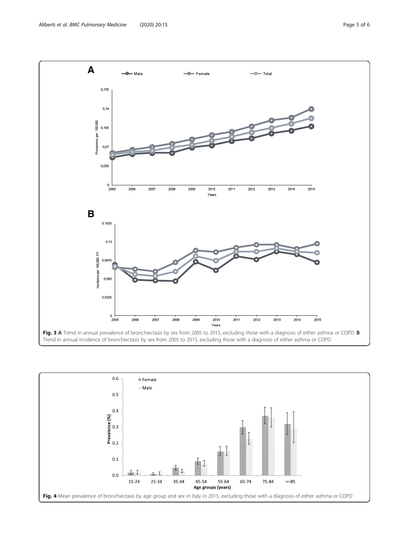<span id="page-4-0"></span>